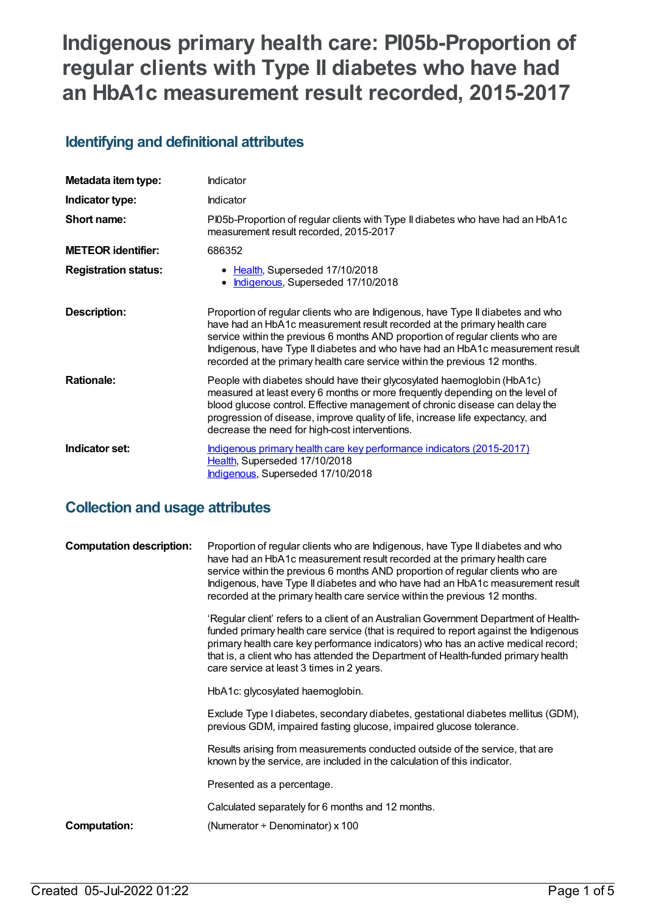# **Indigenous primary health care: PI05b-Proportion of regular clients with Type II diabetes who have had an HbA1c measurement result recorded, 2015-2017**

# **Identifying and definitional attributes**

| Metadata item type:         | Indicator                                                                                                                                                                                                                                                                                                                                                                                                     |
|-----------------------------|---------------------------------------------------------------------------------------------------------------------------------------------------------------------------------------------------------------------------------------------------------------------------------------------------------------------------------------------------------------------------------------------------------------|
| Indicator type:             | <b>Indicator</b>                                                                                                                                                                                                                                                                                                                                                                                              |
| Short name:                 | PI05b-Proportion of regular clients with Type II diabetes who have had an HbA1c<br>measurement result recorded, 2015-2017                                                                                                                                                                                                                                                                                     |
| <b>METEOR identifier:</b>   | 686352                                                                                                                                                                                                                                                                                                                                                                                                        |
| <b>Registration status:</b> | • Health, Superseded 17/10/2018<br>Indigenous, Superseded 17/10/2018                                                                                                                                                                                                                                                                                                                                          |
| <b>Description:</b>         | Proportion of regular clients who are Indigenous, have Type II diabetes and who<br>have had an HbA1c measurement result recorded at the primary health care<br>service within the previous 6 months AND proportion of regular clients who are<br>Indigenous, have Type II diabetes and who have had an HbA1c measurement result<br>recorded at the primary health care service within the previous 12 months. |
| <b>Rationale:</b>           | People with diabetes should have their glycosylated haemoglobin (HbA1c)<br>measured at least every 6 months or more frequently depending on the level of<br>blood glucose control. Effective management of chronic disease can delay the<br>progression of disease, improve quality of life, increase life expectancy, and<br>decrease the need for high-cost interventions.                                  |
| Indicator set:              | Indigenous primary health care key performance indicators (2015-2017)<br>Health, Superseded 17/10/2018<br>Indigenous, Superseded 17/10/2018                                                                                                                                                                                                                                                                   |

# **Collection and usage attributes**

| <b>Computation description:</b> | Proportion of regular clients who are Indigenous, have Type II diabetes and who<br>have had an HbA1c measurement result recorded at the primary health care<br>service within the previous 6 months AND proportion of regular clients who are<br>Indigenous, have Type II diabetes and who have had an HbA1c measurement result<br>recorded at the primary health care service within the previous 12 months. |
|---------------------------------|---------------------------------------------------------------------------------------------------------------------------------------------------------------------------------------------------------------------------------------------------------------------------------------------------------------------------------------------------------------------------------------------------------------|
|                                 | 'Regular client' refers to a client of an Australian Government Department of Health-<br>funded primary health care service (that is required to report against the Indigenous<br>primary health care key performance indicators) who has an active medical record;<br>that is, a client who has attended the Department of Health-funded primary health<br>care service at least 3 times in 2 years.         |
|                                 | HbA1c: glycosylated haemoglobin.                                                                                                                                                                                                                                                                                                                                                                              |
|                                 | Exclude Type I diabetes, secondary diabetes, gestational diabetes mellitus (GDM),<br>previous GDM, impaired fasting glucose, impaired glucose tolerance.                                                                                                                                                                                                                                                      |
|                                 | Results arising from measurements conducted outside of the service, that are<br>known by the service, are included in the calculation of this indicator.                                                                                                                                                                                                                                                      |
|                                 | Presented as a percentage.                                                                                                                                                                                                                                                                                                                                                                                    |
|                                 | Calculated separately for 6 months and 12 months.                                                                                                                                                                                                                                                                                                                                                             |
| Computation:                    | (Numerator $\div$ Denominator) x 100                                                                                                                                                                                                                                                                                                                                                                          |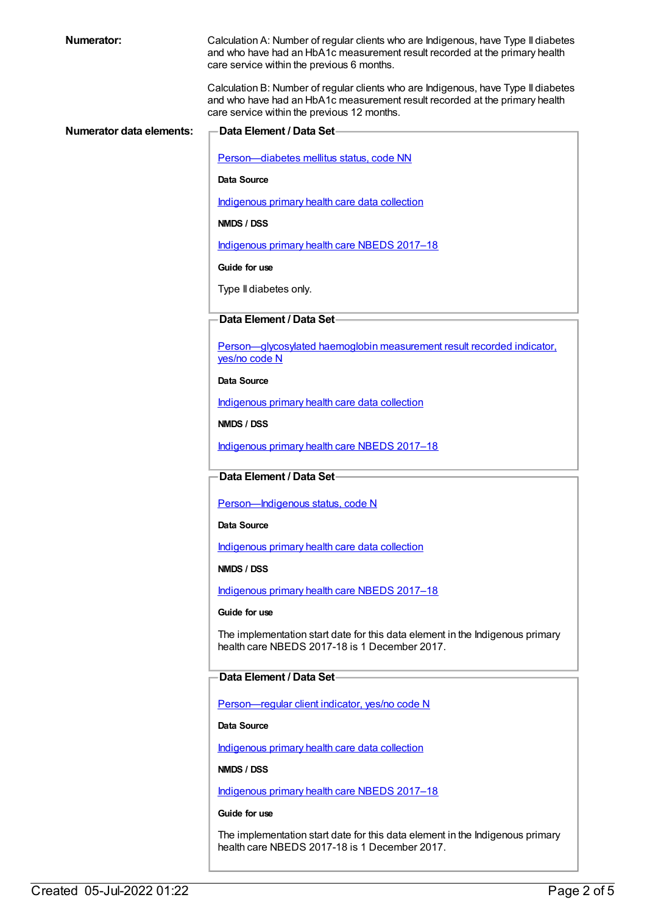|  | Numerator: |  |  |  |
|--|------------|--|--|--|
|--|------------|--|--|--|

Calculation A: Number of regular clients who are Indigenous, have Type II diabetes and who have had an HbA1c measurement result recorded at the primary health care service within the previous 6 months.

Calculation B: Number of regular clients who are Indigenous, have Type II diabetes and who have had an HbA1c measurement result recorded at the primary health care service within the previous 12 months.

| Numerator data elements: | Data Element / Data Set-                                                                                                       |
|--------------------------|--------------------------------------------------------------------------------------------------------------------------------|
|                          | Person-diabetes mellitus status, code NN                                                                                       |
|                          | <b>Data Source</b>                                                                                                             |
|                          | Indigenous primary health care data collection                                                                                 |
|                          | NMDS / DSS                                                                                                                     |
|                          | Indigenous primary health care NBEDS 2017-18                                                                                   |
|                          | Guide for use                                                                                                                  |
|                          | Type II diabetes only.                                                                                                         |
|                          | Data Element / Data Set-                                                                                                       |
|                          | Person-glycosylated haemoglobin measurement result recorded indicator.<br>yes/no code N                                        |
|                          | Data Source                                                                                                                    |
|                          | Indigenous primary health care data collection                                                                                 |
|                          | NMDS / DSS                                                                                                                     |
|                          | Indigenous primary health care NBEDS 2017-18                                                                                   |
|                          | Data Element / Data Set-                                                                                                       |
|                          | Person-Indigenous status, code N                                                                                               |
|                          | <b>Data Source</b>                                                                                                             |
|                          | Indigenous primary health care data collection                                                                                 |
|                          | NMDS / DSS                                                                                                                     |
|                          | Indigenous primary health care NBEDS 2017-18                                                                                   |
|                          | Guide for use                                                                                                                  |
|                          | The implementation start date for this data element in the Indigenous primary<br>health care NBEDS 2017-18 is 1 December 2017. |
|                          | Data Element / Data Set-                                                                                                       |
|                          | Person-regular client indicator, yes/no code N                                                                                 |
|                          | Data Source                                                                                                                    |
|                          | Indigenous primary health care data collection                                                                                 |
|                          | NMDS / DSS                                                                                                                     |
|                          | Indigenous primary health care NBEDS 2017-18                                                                                   |
|                          | Guide for use                                                                                                                  |
|                          | The implementation start date for this data element in the Indigenous primary                                                  |

health care NBEDS 2017-18 is 1 December 2017.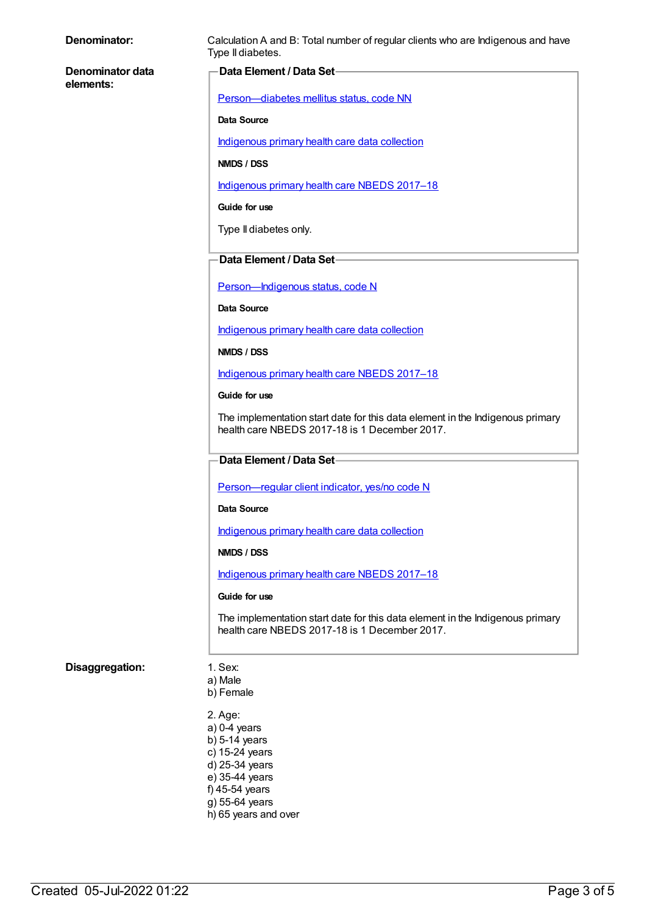| Denominator:                  | Calculation A and B: Total number of regular clients who are Indigenous and have<br>Type II diabetes.                          |  |
|-------------------------------|--------------------------------------------------------------------------------------------------------------------------------|--|
| Denominator data<br>elements: | Data Element / Data Set-                                                                                                       |  |
|                               | Person-diabetes mellitus status, code NN                                                                                       |  |
|                               | <b>Data Source</b>                                                                                                             |  |
|                               | Indigenous primary health care data collection                                                                                 |  |
|                               | NMDS / DSS                                                                                                                     |  |
|                               | Indigenous primary health care NBEDS 2017-18                                                                                   |  |
|                               | Guide for use                                                                                                                  |  |
|                               | Type II diabetes only.                                                                                                         |  |
|                               | Data Element / Data Set-                                                                                                       |  |
|                               | Person-Indigenous status, code N                                                                                               |  |
|                               | <b>Data Source</b>                                                                                                             |  |
|                               | Indigenous primary health care data collection                                                                                 |  |
|                               | NMDS / DSS                                                                                                                     |  |
|                               | Indigenous primary health care NBEDS 2017-18                                                                                   |  |
|                               | Guide for use                                                                                                                  |  |
|                               | The implementation start date for this data element in the Indigenous primary<br>health care NBEDS 2017-18 is 1 December 2017. |  |
|                               | Data Element / Data Set-                                                                                                       |  |
|                               | Person-regular client indicator, yes/no code N                                                                                 |  |
|                               | Data Source                                                                                                                    |  |
|                               | Indigenous primary health care data collection                                                                                 |  |
|                               | NMDS / DSS                                                                                                                     |  |
|                               | Indigenous primary health care NBEDS 2017-18                                                                                   |  |
|                               | Guide for use                                                                                                                  |  |
|                               | The implementation start date for this data element in the Indigenous primary<br>health care NBEDS 2017-18 is 1 December 2017. |  |
| Disaggregation:               | 1. Sex:<br>a) Male                                                                                                             |  |
|                               | b) Female                                                                                                                      |  |
|                               | 2. Age:                                                                                                                        |  |
|                               | $a)$ 0-4 years<br>$b)$ 5-14 years                                                                                              |  |
|                               | c) 15-24 years<br>d) 25-34 years                                                                                               |  |
|                               | e) 35-44 years                                                                                                                 |  |
|                               | f) 45-54 years<br>g) 55-64 years                                                                                               |  |
|                               | h) 65 years and over                                                                                                           |  |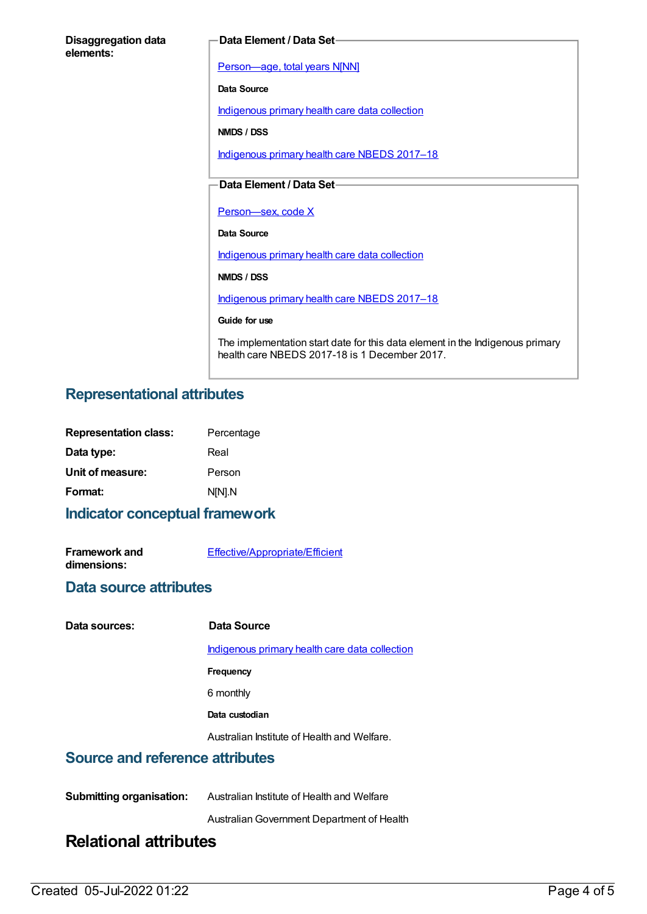| <b>Disaggregation data</b> |  |
|----------------------------|--|
| elements:                  |  |

#### **Data Element / Data Set**

[Person—age,](https://meteor.aihw.gov.au/content/303794) total years N[NN]

**Data Source**

[Indigenous](https://meteor.aihw.gov.au/content/430643) primary health care data collection

**NMDS / DSS**

[Indigenous](https://meteor.aihw.gov.au/content/686603) primary health care NBEDS 2017–18

#### **Data Element / Data Set**

Person-sex, code X

**Data Source**

[Indigenous](https://meteor.aihw.gov.au/content/430643) primary health care data collection

**NMDS / DSS**

[Indigenous](https://meteor.aihw.gov.au/content/686603) primary health care NBEDS 2017–18

**Guide for use**

The implementation start date for this data element in the Indigenous primary health care NBEDS 2017-18 is 1 December 2017.

### **Representational attributes**

| <b>Representation class:</b> | Percentage |
|------------------------------|------------|
| Data type:                   | Real       |
| Unit of measure:             | Person     |
| Format:                      | N[N].N     |
|                              |            |

#### **Indicator conceptual framework**

**Framework and dimensions:**

[Effective/Appropriate/Efficient](https://meteor.aihw.gov.au/content/410681)

#### **Data source attributes**

**Data sources: Data Source**

[Indigenous](https://meteor.aihw.gov.au/content/430643) primary health care data collection

**Frequency**

6 monthly

**Data custodian**

Australian Institute of Health and Welfare.

#### **Source and reference attributes**

| <b>Submitting organisation:</b> | Australian Institute of Health and Welfare |
|---------------------------------|--------------------------------------------|
|                                 | Australian Government Department of Health |

# **Relational attributes**